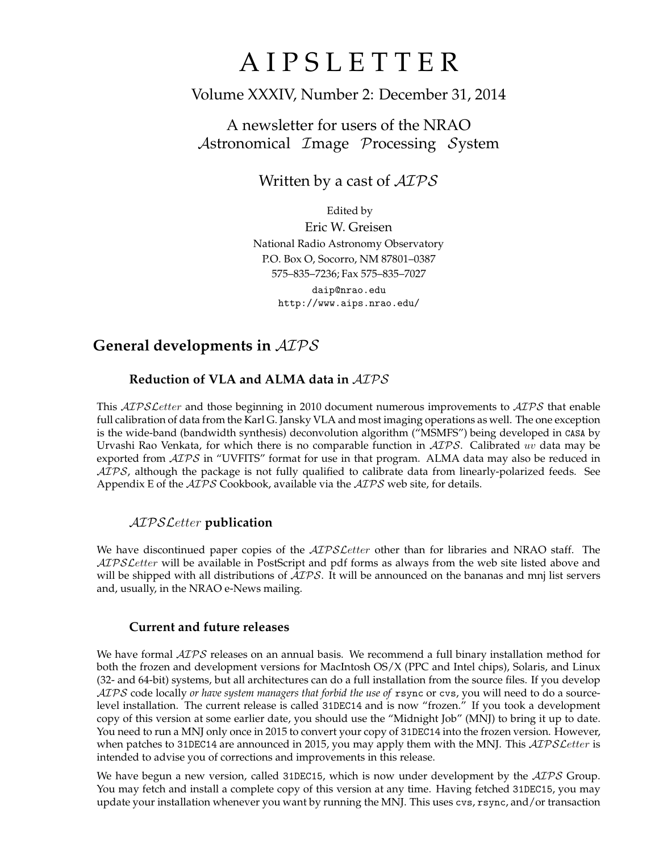# A I P S L E T T E R

# Volume XXXIV, Number 2: December 31, 2014

# A newsletter for users of the NRAO Astronomical Image Processing System

Written by a cast of  $AIPS$ 

Edited by Eric W. Greisen National Radio Astronomy Observatory P.O. Box O, Socorro, NM 87801–0387 575–835–7236; Fax 575–835–7027 daip@nrao.edu

http://www.aips.nrao.edu/

# **General developments in** AIPS

## **Reduction of VLA and ALMA data in** AIPS

This AIPS Letter and those beginning in 2010 document numerous improvements to AIPS that enable full calibration of data from the Karl G. Jansky VLA and most imaging operations as well. The one exception is the wide-band (bandwidth synthesis) deconvolution algorithm ("MSMFS") being developed in CASA by Urvashi Rao Venkata, for which there is no comparable function in  $\mathcal{AIPS}$ . Calibrated uv data may be exported from  $ATPS$  in "UVFITS" format for use in that program. ALMA data may also be reduced in AIPS, although the package is not fully qualified to calibrate data from linearly-polarized feeds. See Appendix E of the AIPS Cookbook, available via the AIPS web site, for details.

## AIPSLetter **publication**

We have discontinued paper copies of the *AIPS Letter* other than for libraries and NRAO staff. The AIPS Letter will be available in PostScript and pdf forms as always from the web site listed above and will be shipped with all distributions of  $AIPS$ . It will be announced on the bananas and mnj list servers and, usually, in the NRAO e-News mailing.

### **Current and future releases**

We have formal  $\mathcal{AIPS}$  releases on an annual basis. We recommend a full binary installation method for both the frozen and development versions for MacIntosh OS/X (PPC and Intel chips), Solaris, and Linux (32- and 64-bit) systems, but all architectures can do a full installation from the source files. If you develop AIPS code locally *or have system managers that forbid the use of* rsync or cvs, you will need to do a sourcelevel installation. The current release is called 31DEC14 and is now "frozen." If you took a development copy of this version at some earlier date, you should use the "Midnight Job" (MNJ) to bring it up to date. You need to run a MNJ only once in 2015 to convert your copy of 31DEC14 into the frozen version. However, when patches to 31DEC14 are announced in 2015, you may apply them with the MNJ. This AIPS Letter is intended to advise you of corrections and improvements in this release.

We have begun a new version, called 31DEC15, which is now under development by the  $\mathcal{AIPS}$  Group. You may fetch and install a complete copy of this version at any time. Having fetched 31DEC15, you may update your installation whenever you want by running the MNJ. This uses cvs, rsync, and/or transaction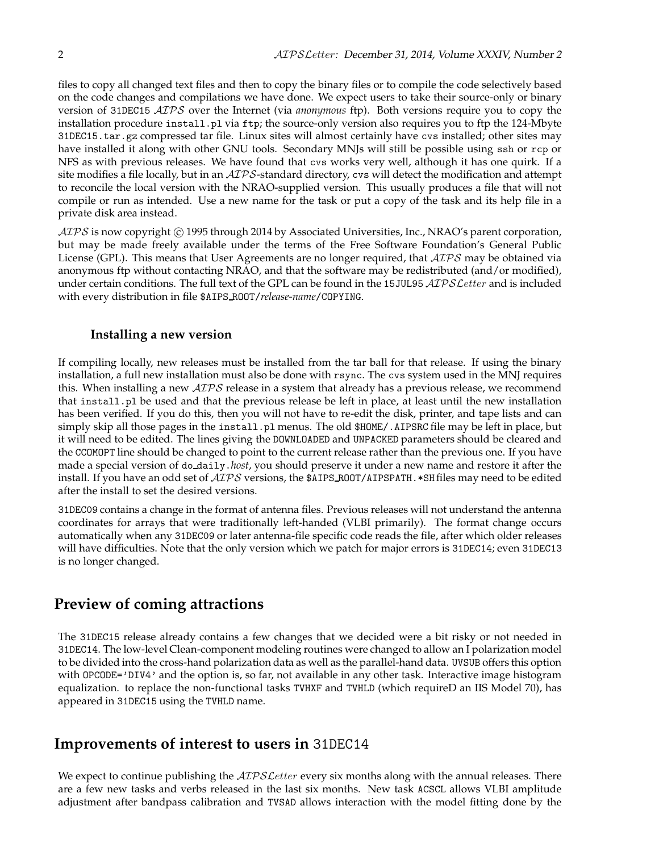files to copy all changed text files and then to copy the binary files or to compile the code selectively based on the code changes and compilations we have done. We expect users to take their source-only or binary version of 31DEC15 AIPS over the Internet (via *anonymous* ftp). Both versions require you to copy the installation procedure install.pl via ftp; the source-only version also requires you to ftp the 124-Mbyte 31DEC15.tar.gz compressed tar file. Linux sites will almost certainly have cvs installed; other sites may have installed it along with other GNU tools. Secondary MNJs will still be possible using ssh or rcp or NFS as with previous releases. We have found that cvs works very well, although it has one quirk. If a site modifies a file locally, but in an AIPS-standard directory, cvs will detect the modification and attempt to reconcile the local version with the NRAO-supplied version. This usually produces a file that will not compile or run as intended. Use a new name for the task or put a copy of the task and its help file in a private disk area instead.

AIPS is now copyright C 1995 through 2014 by Associated Universities, Inc., NRAO's parent corporation, but may be made freely available under the terms of the Free Software Foundation's General Public License (GPL). This means that User Agreements are no longer required, that *ATPS* may be obtained via anonymous ftp without contacting NRAO, and that the software may be redistributed (and/or modified), under certain conditions. The full text of the GPL can be found in the 15JUL95 AIPS Letter and is included with every distribution in file \$AIPS ROOT/*release-name*/COPYING.

### **Installing a new version**

If compiling locally, new releases must be installed from the tar ball for that release. If using the binary installation, a full new installation must also be done with rsync. The cvs system used in the MNJ requires this. When installing a new  $\langle \angle ATPS \rangle$  release in a system that already has a previous release, we recommend that install.pl be used and that the previous release be left in place, at least until the new installation has been verified. If you do this, then you will not have to re-edit the disk, printer, and tape lists and can simply skip all those pages in the install.pl menus. The old \$HOME/.AIPSRC file may be left in place, but it will need to be edited. The lines giving the DOWNLOADED and UNPACKED parameters should be cleared and the CCOMOPT line should be changed to point to the current release rather than the previous one. If you have made a special version of do daily.*host*, you should preserve it under a new name and restore it after the install. If you have an odd set of  $AIPS$  versions, the \$AIPS\_ROOT/AIPSPATH. \*SHfiles may need to be edited after the install to set the desired versions.

31DEC09 contains a change in the format of antenna files. Previous releases will not understand the antenna coordinates for arrays that were traditionally left-handed (VLBI primarily). The format change occurs automatically when any 31DEC09 or later antenna-file specific code reads the file, after which older releases will have difficulties. Note that the only version which we patch for major errors is 31DEC14; even 31DEC13 is no longer changed.

# **Preview of coming attractions**

The 31DEC15 release already contains a few changes that we decided were a bit risky or not needed in 31DEC14. The low-level Clean-component modeling routines were changed to allow an I polarization model to be divided into the cross-hand polarization data as well as the parallel-hand data. UVSUB offers this option with OPCODE='DIV4' and the option is, so far, not available in any other task. Interactive image histogram equalization. to replace the non-functional tasks TVHXF and TVHLD (which requireD an IIS Model 70), has appeared in 31DEC15 using the TVHLD name.

## **Improvements of interest to users in** 31DEC14

We expect to continue publishing the  $ATPSLetter$  every six months along with the annual releases. There are a few new tasks and verbs released in the last six months. New task ACSCL allows VLBI amplitude adjustment after bandpass calibration and TVSAD allows interaction with the model fitting done by the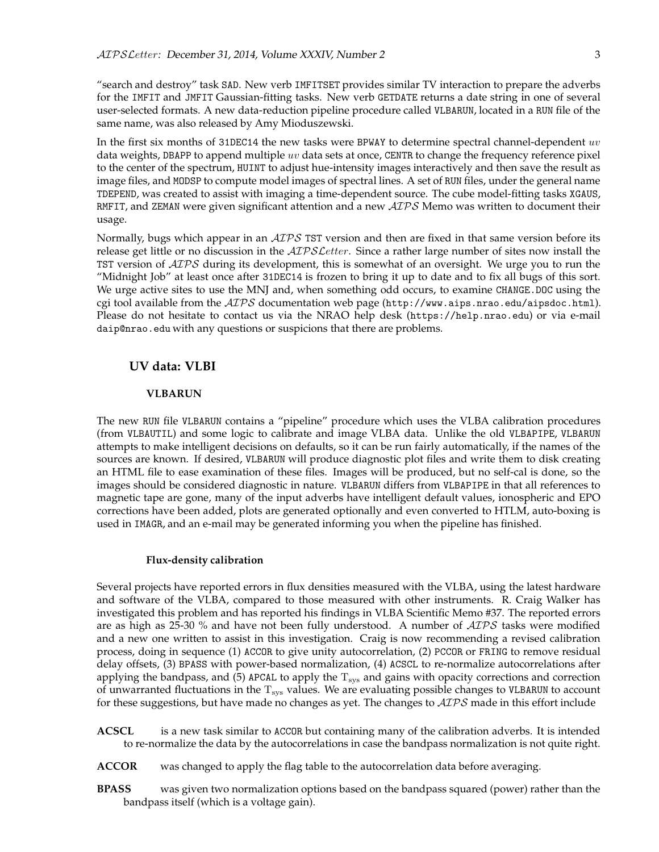"search and destroy" task SAD. New verb IMFITSET provides similar TV interaction to prepare the adverbs for the IMFIT and JMFIT Gaussian-fitting tasks. New verb GETDATE returns a date string in one of several user-selected formats. A new data-reduction pipeline procedure called VLBARUN, located in a RUN file of the same name, was also released by Amy Mioduszewski.

In the first six months of 31DEC14 the new tasks were BPWAY to determine spectral channel-dependent  $uv$ data weights, DBAPP to append multiple uv data sets at once, CENTR to change the frequency reference pixel to the center of the spectrum, HUINT to adjust hue-intensity images interactively and then save the result as image files, and MODSP to compute model images of spectral lines. A set of RUN files, under the general name TDEPEND, was created to assist with imaging a time-dependent source. The cube model-fitting tasks XGAUS, RMFIT, and ZEMAN were given significant attention and a new  $\mathcal{AIPS}$  Memo was written to document their usage.

Normally, bugs which appear in an  $\mathcal{AIPS}$  TST version and then are fixed in that same version before its release get little or no discussion in the  $ATPSLetter$ . Since a rather large number of sites now install the TST version of  $\mathcal{AIPS}$  during its development, this is somewhat of an oversight. We urge you to run the "Midnight Job" at least once after 31DEC14 is frozen to bring it up to date and to fix all bugs of this sort. We urge active sites to use the MNJ and, when something odd occurs, to examine CHANGE.DOC using the cgi tool available from the  $AIPS$  documentation web page (http://www.aips.nrao.edu/aipsdoc.html). Please do not hesitate to contact us via the NRAO help desk (https://help.nrao.edu) or via e-mail daip@nrao.edu with any questions or suspicions that there are problems.

### **UV data: VLBI**

#### **VLBARUN**

The new RUN file VLBARUN contains a "pipeline" procedure which uses the VLBA calibration procedures (from VLBAUTIL) and some logic to calibrate and image VLBA data. Unlike the old VLBAPIPE, VLBARUN attempts to make intelligent decisions on defaults, so it can be run fairly automatically, if the names of the sources are known. If desired, VLBARUN will produce diagnostic plot files and write them to disk creating an HTML file to ease examination of these files. Images will be produced, but no self-cal is done, so the images should be considered diagnostic in nature. VLBARUN differs from VLBAPIPE in that all references to magnetic tape are gone, many of the input adverbs have intelligent default values, ionospheric and EPO corrections have been added, plots are generated optionally and even converted to HTLM, auto-boxing is used in IMAGR, and an e-mail may be generated informing you when the pipeline has finished.

#### **Flux-density calibration**

Several projects have reported errors in flux densities measured with the VLBA, using the latest hardware and software of the VLBA, compared to those measured with other instruments. R. Craig Walker has investigated this problem and has reported his findings in VLBA Scientific Memo #37. The reported errors are as high as 25-30  $%$  and have not been fully understood. A number of  $ATPS$  tasks were modified and a new one written to assist in this investigation. Craig is now recommending a revised calibration process, doing in sequence (1) ACCOR to give unity autocorrelation, (2) PCCOR or FRING to remove residual delay offsets, (3) BPASS with power-based normalization, (4) ACSCL to re-normalize autocorrelations after applying the bandpass, and  $(5)$  APCAL to apply the  $T_{sys}$  and gains with opacity corrections and correction of unwarranted fluctuations in the  $T_{sys}$  values. We are evaluating possible changes to VLBARUN to account for these suggestions, but have made no changes as yet. The changes to  $\mathcal{AIPS}$  made in this effort include

- **ACSCL** is a new task similar to ACCOR but containing many of the calibration adverbs. It is intended to re-normalize the data by the autocorrelations in case the bandpass normalization is not quite right.
- **ACCOR** was changed to apply the flag table to the autocorrelation data before averaging.
- **BPASS** was given two normalization options based on the bandpass squared (power) rather than the bandpass itself (which is a voltage gain).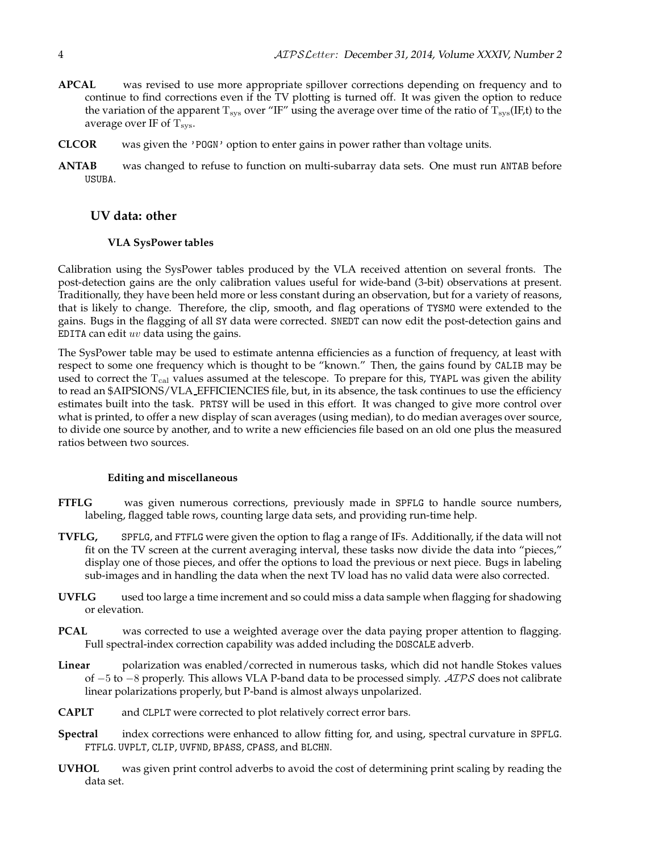- **APCAL** was revised to use more appropriate spillover corrections depending on frequency and to continue to find corrections even if the TV plotting is turned off. It was given the option to reduce the variation of the apparent  $T_{sys}$  over "IF" using the average over time of the ratio of  $T_{sys}(IF, t)$  to the average over IF of  $T_{sys}$ .
- **CLCOR** was given the 'POGN' option to enter gains in power rather than voltage units.
- **ANTAB** was changed to refuse to function on multi-subarray data sets. One must run ANTAB before USUBA.

### **UV data: other**

#### **VLA SysPower tables**

Calibration using the SysPower tables produced by the VLA received attention on several fronts. The post-detection gains are the only calibration values useful for wide-band (3-bit) observations at present. Traditionally, they have been held more or less constant during an observation, but for a variety of reasons, that is likely to change. Therefore, the clip, smooth, and flag operations of TYSMO were extended to the gains. Bugs in the flagging of all SY data were corrected. SNEDT can now edit the post-detection gains and EDITA can edit  $uv$  data using the gains.

The SysPower table may be used to estimate antenna efficiencies as a function of frequency, at least with respect to some one frequency which is thought to be "known." Then, the gains found by CALIB may be used to correct the T<sub>cal</sub> values assumed at the telescope. To prepare for this, TYAPL was given the ability to read an \$AIPSIONS/VLA EFFICIENCIES file, but, in its absence, the task continues to use the efficiency estimates built into the task. PRTSY will be used in this effort. It was changed to give more control over what is printed, to offer a new display of scan averages (using median), to do median averages over source, to divide one source by another, and to write a new efficiencies file based on an old one plus the measured ratios between two sources.

#### **Editing and miscellaneous**

- **FTFLG** was given numerous corrections, previously made in SPFLG to handle source numbers, labeling, flagged table rows, counting large data sets, and providing run-time help.
- **TVFLG,** SPFLG, and FTFLG were given the option to flag a range of IFs. Additionally, if the data will not fit on the TV screen at the current averaging interval, these tasks now divide the data into "pieces," display one of those pieces, and offer the options to load the previous or next piece. Bugs in labeling sub-images and in handling the data when the next TV load has no valid data were also corrected.
- **UVFLG** used too large a time increment and so could miss a data sample when flagging for shadowing or elevation.
- **PCAL** was corrected to use a weighted average over the data paying proper attention to flagging. Full spectral-index correction capability was added including the DOSCALE adverb.
- **Linear** polarization was enabled/corrected in numerous tasks, which did not handle Stokes values of  $-5$  to  $-8$  properly. This allows VLA P-band data to be processed simply. AIPS does not calibrate linear polarizations properly, but P-band is almost always unpolarized.
- **CAPLT** and CLPLT were corrected to plot relatively correct error bars.
- **Spectral** index corrections were enhanced to allow fitting for, and using, spectral curvature in SPFLG. FTFLG. UVPLT, CLIP, UVFND, BPASS, CPASS, and BLCHN.
- **UVHOL** was given print control adverbs to avoid the cost of determining print scaling by reading the data set.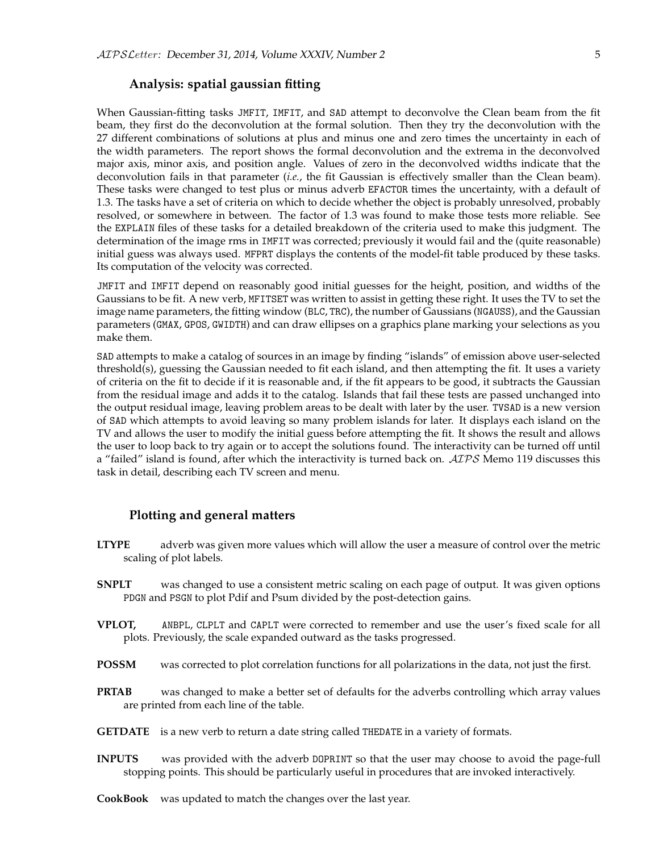### **Analysis: spatial gaussian fitting**

When Gaussian-fitting tasks JMFIT, IMFIT, and SAD attempt to deconvolve the Clean beam from the fit beam, they first do the deconvolution at the formal solution. Then they try the deconvolution with the 27 different combinations of solutions at plus and minus one and zero times the uncertainty in each of the width parameters. The report shows the formal deconvolution and the extrema in the deconvolved major axis, minor axis, and position angle. Values of zero in the deconvolved widths indicate that the deconvolution fails in that parameter (*i.e.*, the fit Gaussian is effectively smaller than the Clean beam). These tasks were changed to test plus or minus adverb EFACTOR times the uncertainty, with a default of 1.3. The tasks have a set of criteria on which to decide whether the object is probably unresolved, probably resolved, or somewhere in between. The factor of 1.3 was found to make those tests more reliable. See the EXPLAIN files of these tasks for a detailed breakdown of the criteria used to make this judgment. The determination of the image rms in IMFIT was corrected; previously it would fail and the (quite reasonable) initial guess was always used. MFPRT displays the contents of the model-fit table produced by these tasks. Its computation of the velocity was corrected.

JMFIT and IMFIT depend on reasonably good initial guesses for the height, position, and widths of the Gaussians to be fit. A new verb, MFITSET was written to assist in getting these right. It uses the TV to set the image name parameters, the fitting window (BLC, TRC), the number of Gaussians (NGAUSS), and the Gaussian parameters (GMAX, GPOS, GWIDTH) and can draw ellipses on a graphics plane marking your selections as you make them.

SAD attempts to make a catalog of sources in an image by finding "islands" of emission above user-selected threshold(s), guessing the Gaussian needed to fit each island, and then attempting the fit. It uses a variety of criteria on the fit to decide if it is reasonable and, if the fit appears to be good, it subtracts the Gaussian from the residual image and adds it to the catalog. Islands that fail these tests are passed unchanged into the output residual image, leaving problem areas to be dealt with later by the user. TVSAD is a new version of SAD which attempts to avoid leaving so many problem islands for later. It displays each island on the TV and allows the user to modify the initial guess before attempting the fit. It shows the result and allows the user to loop back to try again or to accept the solutions found. The interactivity can be turned off until a "failed" island is found, after which the interactivity is turned back on.  $\mathcal{AIPS}$  Memo 119 discusses this task in detail, describing each TV screen and menu.

### **Plotting and general matters**

- **LTYPE** adverb was given more values which will allow the user a measure of control over the metric scaling of plot labels.
- **SNPLT** was changed to use a consistent metric scaling on each page of output. It was given options PDGN and PSGN to plot Pdif and Psum divided by the post-detection gains.
- **VPLOT,** ANBPL, CLPLT and CAPLT were corrected to remember and use the user's fixed scale for all plots. Previously, the scale expanded outward as the tasks progressed.
- **POSSM** was corrected to plot correlation functions for all polarizations in the data, not just the first.
- **PRTAB** was changed to make a better set of defaults for the adverbs controlling which array values are printed from each line of the table.
- **GETDATE** is a new verb to return a date string called THEDATE in a variety of formats.
- **INPUTS** was provided with the adverb DOPRINT so that the user may choose to avoid the page-full stopping points. This should be particularly useful in procedures that are invoked interactively.
- **CookBook** was updated to match the changes over the last year.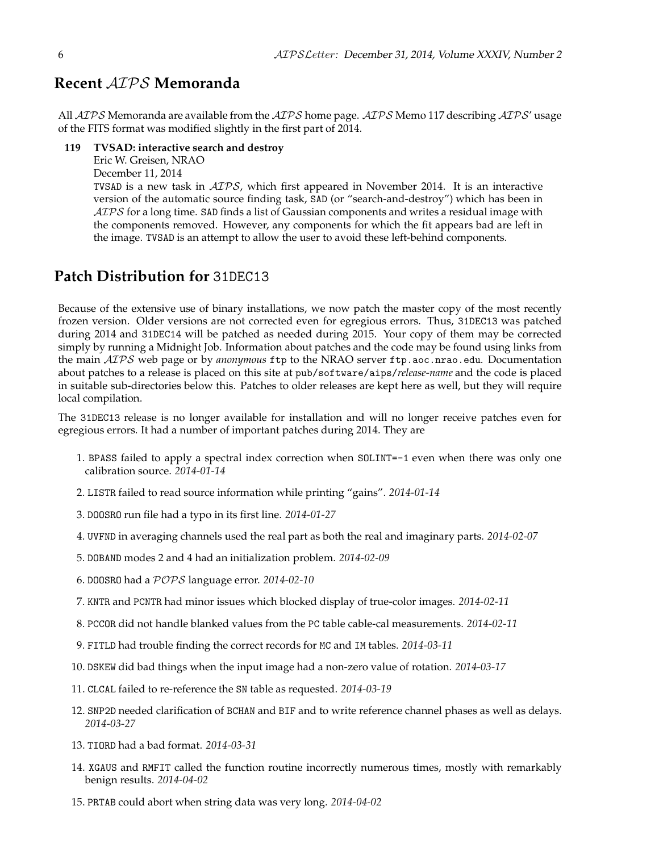# **Recent** AIPS **Memoranda**

All  $AIPS$  Memoranda are available from the  $AIPS$  home page.  $AIPS$  Memo 117 describing  $AIPS'$  usage of the FITS format was modified slightly in the first part of 2014.

#### **119 TVSAD: interactive search and destroy**

Eric W. Greisen, NRAO

December 11, 2014

TVSAD is a new task in AIPS, which first appeared in November 2014. It is an interactive version of the automatic source finding task, SAD (or "search-and-destroy") which has been in  $AIPS$  for a long time. SAD finds a list of Gaussian components and writes a residual image with the components removed. However, any components for which the fit appears bad are left in the image. TVSAD is an attempt to allow the user to avoid these left-behind components.

# **Patch Distribution for** 31DEC13

Because of the extensive use of binary installations, we now patch the master copy of the most recently frozen version. Older versions are not corrected even for egregious errors. Thus, 31DEC13 was patched during 2014 and 31DEC14 will be patched as needed during 2015. Your copy of them may be corrected simply by running a Midnight Job. Information about patches and the code may be found using links from the main AIPS web page or by *anonymous* ftp to the NRAO server ftp.aoc.nrao.edu. Documentation about patches to a release is placed on this site at pub/software/aips/*release-name* and the code is placed in suitable sub-directories below this. Patches to older releases are kept here as well, but they will require local compilation.

The 31DEC13 release is no longer available for installation and will no longer receive patches even for egregious errors. It had a number of important patches during 2014. They are

- 1. BPASS failed to apply a spectral index correction when SOLINT=-1 even when there was only one calibration source. *2014-01-14*
- 2. LISTR failed to read source information while printing "gains". *2014-01-14*
- 3. DOOSRO run file had a typo in its first line. *2014-01-27*
- 4. UVFND in averaging channels used the real part as both the real and imaginary parts. *2014-02-07*
- 5. DOBAND modes 2 and 4 had an initialization problem. *2014-02-09*
- 6. DOOSRO had a POPS language error. *2014-02-10*
- 7. KNTR and PCNTR had minor issues which blocked display of true-color images. *2014-02-11*
- 8. PCCOR did not handle blanked values from the PC table cable-cal measurements. *2014-02-11*
- 9. FITLD had trouble finding the correct records for MC and IM tables. *2014-03-11*
- 10. DSKEW did bad things when the input image had a non-zero value of rotation. *2014-03-17*
- 11. CLCAL failed to re-reference the SN table as requested. *2014-03-19*
- 12. SNP2D needed clarification of BCHAN and BIF and to write reference channel phases as well as delays. *2014-03-27*
- 13. TIORD had a bad format. *2014-03-31*
- 14. XGAUS and RMFIT called the function routine incorrectly numerous times, mostly with remarkably benign results. *2014-04-02*
- 15. PRTAB could abort when string data was very long. *2014-04-02*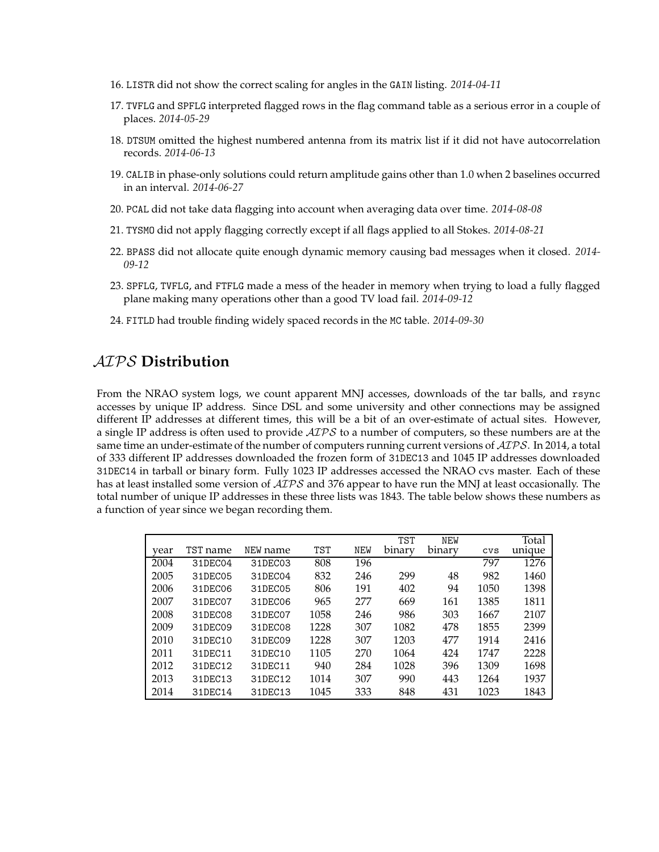- 16. LISTR did not show the correct scaling for angles in the GAIN listing. *2014-04-11*
- 17. TVFLG and SPFLG interpreted flagged rows in the flag command table as a serious error in a couple of places. *2014-05-29*
- 18. DTSUM omitted the highest numbered antenna from its matrix list if it did not have autocorrelation records. *2014-06-13*
- 19. CALIB in phase-only solutions could return amplitude gains other than 1.0 when 2 baselines occurred in an interval. *2014-06-27*
- 20. PCAL did not take data flagging into account when averaging data over time. *2014-08-08*
- 21. TYSMO did not apply flagging correctly except if all flags applied to all Stokes. *2014-08-21*
- 22. BPASS did not allocate quite enough dynamic memory causing bad messages when it closed. *2014- 09-12*
- 23. SPFLG, TVFLG, and FTFLG made a mess of the header in memory when trying to load a fully flagged plane making many operations other than a good TV load fail. *2014-09-12*
- 24. FITLD had trouble finding widely spaced records in the MC table. *2014-09-30*

# AIPS **Distribution**

From the NRAO system logs, we count apparent MNJ accesses, downloads of the tar balls, and rsync accesses by unique IP address. Since DSL and some university and other connections may be assigned different IP addresses at different times, this will be a bit of an over-estimate of actual sites. However, a single IP address is often used to provide  $\mathcal{AIPS}$  to a number of computers, so these numbers are at the same time an under-estimate of the number of computers running current versions of  $\mathcal{AIPS}$ . In 2014, a total of 333 different IP addresses downloaded the frozen form of 31DEC13 and 1045 IP addresses downloaded 31DEC14 in tarball or binary form. Fully 1023 IP addresses accessed the NRAO cvs master. Each of these has at least installed some version of  $\mathcal{AIPS}$  and 376 appear to have run the MNJ at least occasionally. The total number of unique IP addresses in these three lists was 1843. The table below shows these numbers as a function of year since we began recording them.

|      |          |          |            |     | <b>TST</b> | <b>NEW</b> |            | Total  |
|------|----------|----------|------------|-----|------------|------------|------------|--------|
| year | TST name | NEW name | <b>TST</b> | NEW | binary     | binary     | <b>CVS</b> | unique |
| 2004 | 31DEC04  | 31DEC03  | 808        | 196 |            |            | 797        | 1276   |
| 2005 | 31DEC05  | 31DEC04  | 832        | 246 | 299        | 48         | 982        | 1460   |
| 2006 | 31DEC06  | 31DEC05  | 806        | 191 | 402        | 94         | 1050       | 1398   |
| 2007 | 31DEC07  | 31DEC06  | 965        | 277 | 669        | 161        | 1385       | 1811   |
| 2008 | 31DEC08  | 31DEC07  | 1058       | 246 | 986        | 303        | 1667       | 2107   |
| 2009 | 31DEC09  | 31DEC08  | 1228       | 307 | 1082       | 478        | 1855       | 2399   |
| 2010 | 31DEC10  | 31DEC09  | 1228       | 307 | 1203       | 477        | 1914       | 2416   |
| 2011 | 31DEC11  | 31DEC10  | 1105       | 270 | 1064       | 424        | 1747       | 2228   |
| 2012 | 31DEC12  | 31DEC11  | 940        | 284 | 1028       | 396        | 1309       | 1698   |
| 2013 | 31DEC13  | 31DEC12  | 1014       | 307 | 990        | 443        | 1264       | 1937   |
| 2014 | 31DEC14  | 31DEC13  | 1045       | 333 | 848        | 431        | 1023       | 1843   |